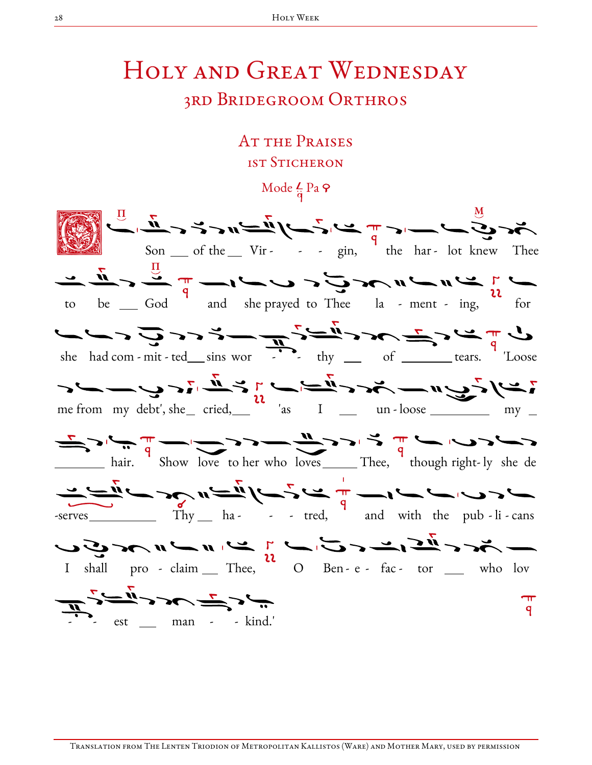# Holy and Great Wednesday

### 3rd Bridegroom Orthros

## AT THE PRAISES 1st Sticheron

Mode  $\frac{L}{q}$  Pa  $\varphi$ 



Translation from The Lenten Triodion of Metropolitan Kallistos (Ware) and Mother Mary, used by permission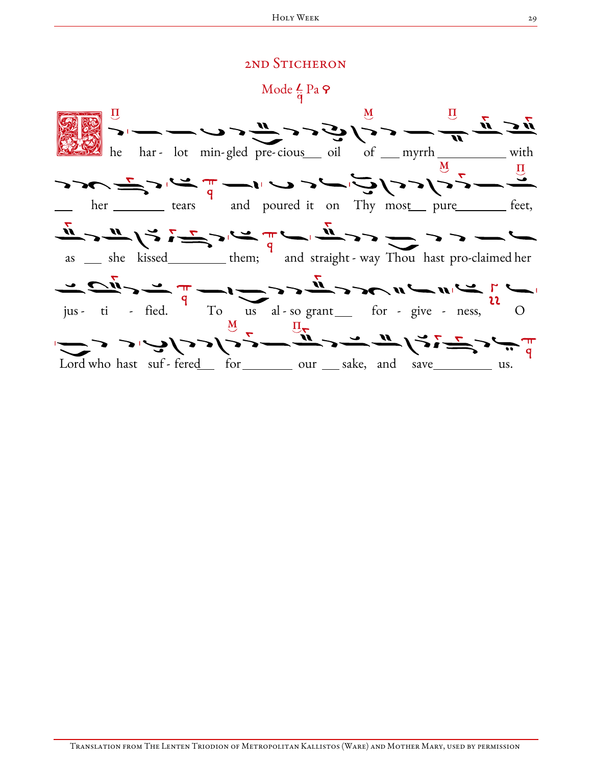#### 2ND STICHERON

Mode  $\frac{L}{\dot{q}}$  Pa  $\varphi$ 

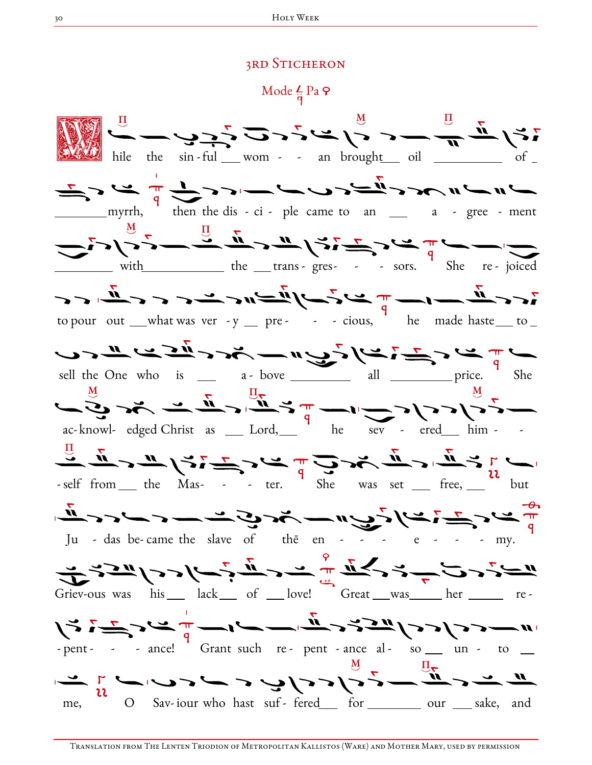#### **3RD STICHERON**

Mode  $\frac{L}{\dot{q}}$  Pa  $\varphi$ 

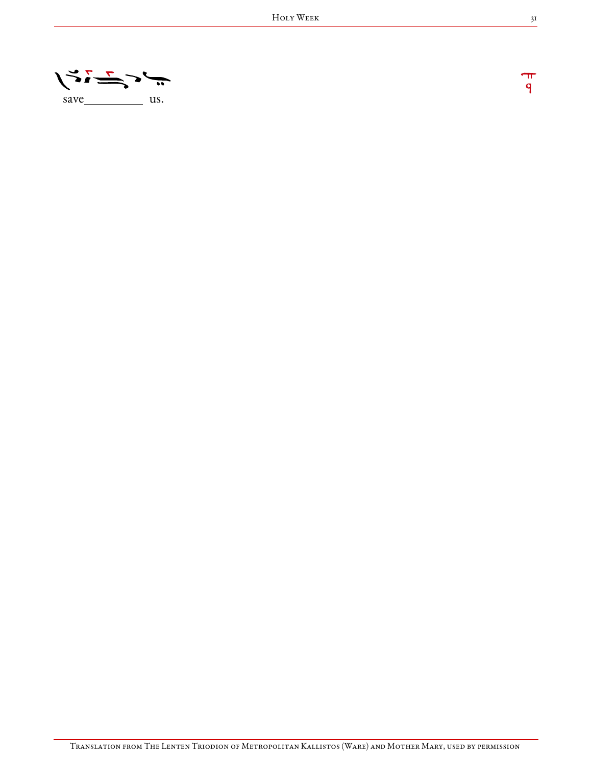

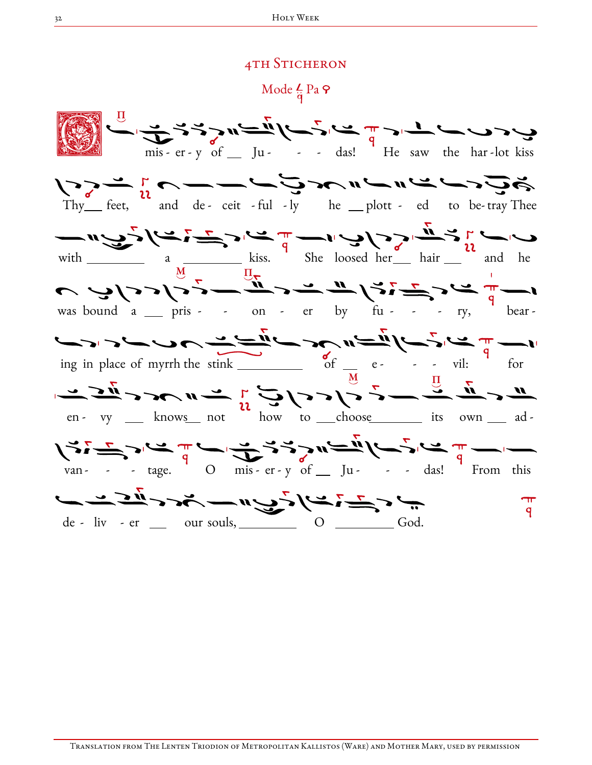#### **4TH STICHERON**

Mode  $\frac{L}{\dot{a}}$  Pa  $\varphi$ 

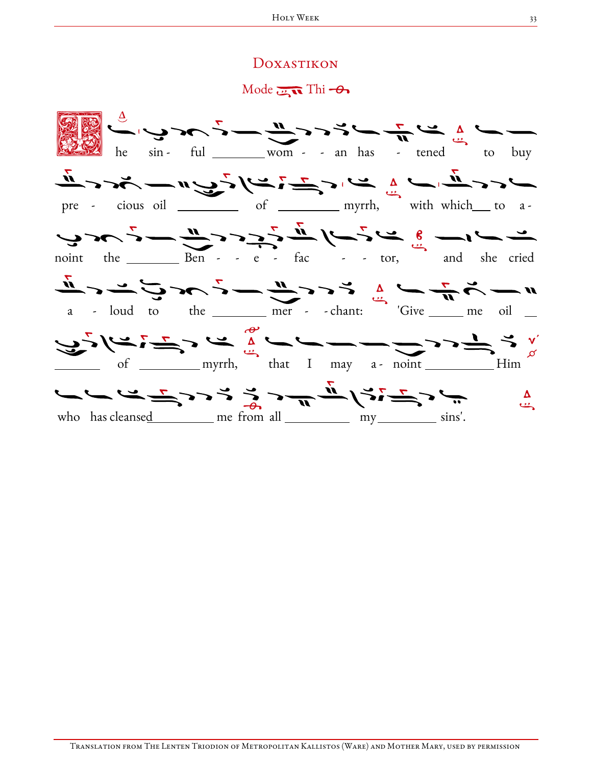#### Doxastikon

 $Mode$   $\overline{m}$  Thi  $\rightarrow$